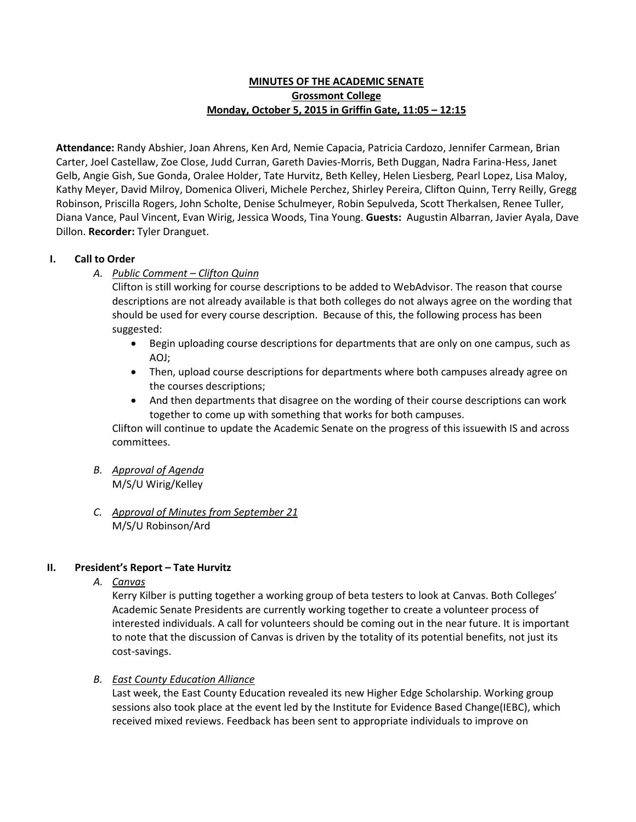# **MINUTES OF THE ACADEMIC SENATE Grossmont College Monday, October 5, 2015 in Griffin Gate, 11:05 – 12:15**

**Attendance:** Randy Abshier, Joan Ahrens, Ken Ard, Nemie Capacia, Patricia Cardozo, Jennifer Carmean, Brian Carter, Joel Castellaw, Zoe Close, Judd Curran, Gareth Davies-Morris, Beth Duggan, Nadra Farina-Hess, Janet Gelb, Angie Gish, Sue Gonda, Oralee Holder, Tate Hurvitz, Beth Kelley, Helen Liesberg, Pearl Lopez, Lisa Maloy, Kathy Meyer, David Milroy, Domenica Oliveri, Michele Perchez, Shirley Pereira, Clifton Quinn, Terry Reilly, Gregg Robinson, Priscilla Rogers, John Scholte, Denise Schulmeyer, Robin Sepulveda, Scott Therkalsen, Renee Tuller, Diana Vance, Paul Vincent, Evan Wirig, Jessica Woods, Tina Young. **Guests:** Augustin Albarran, Javier Ayala, Dave Dillon. **Recorder:** Tyler Dranguet.

# **I. Call to Order**

*A. Public Comment – Clifton Quinn*

Clifton is still working for course descriptions to be added to WebAdvisor. The reason that course descriptions are not already available is that both colleges do not always agree on the wording that should be used for every course description. Because of this, the following process has been suggested:

- Begin uploading course descriptions for departments that are only on one campus, such as AOJ;
- Then, upload course descriptions for departments where both campuses already agree on the courses descriptions;
- And then departments that disagree on the wording of their course descriptions can work together to come up with something that works for both campuses.

Clifton will continue to update the Academic Senate on the progress of this issuewith IS and across committees.

- *B. Approval of Agenda* M/S/U Wirig/Kelley
- *C. Approval of Minutes from September 21* M/S/U Robinson/Ard

# **II. President's Report – Tate Hurvitz**

*A. Canvas*

Kerry Kilber is putting together a working group of beta testers to look at Canvas. Both Colleges' Academic Senate Presidents are currently working together to create a volunteer process of interested individuals. A call for volunteers should be coming out in the near future. It is important to note that the discussion of Canvas is driven by the totality of its potential benefits, not just its cost-savings.

## *B. East County Education Alliance*

Last week, the East County Education revealed its new Higher Edge Scholarship. Working group sessions also took place at the event led by the Institute for Evidence Based Change(IEBC), which received mixed reviews. Feedback has been sent to appropriate individuals to improve on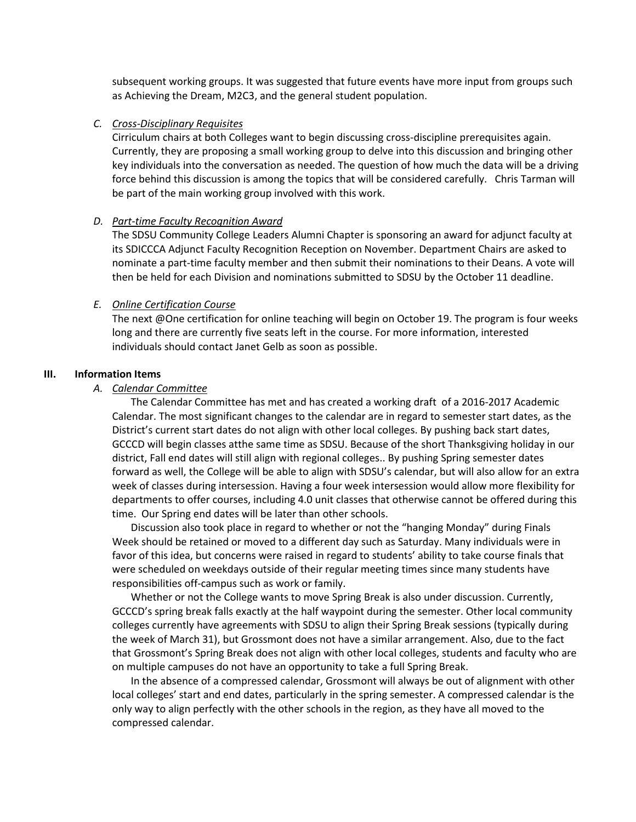subsequent working groups. It was suggested that future events have more input from groups such as Achieving the Dream, M2C3, and the general student population.

#### *C. Cross-Disciplinary Requisites*

Cirriculum chairs at both Colleges want to begin discussing cross-discipline prerequisites again. Currently, they are proposing a small working group to delve into this discussion and bringing other key individuals into the conversation as needed. The question of how much the data will be a driving force behind this discussion is among the topics that will be considered carefully. Chris Tarman will be part of the main working group involved with this work.

#### *D. Part-time Faculty Recognition Award*

The SDSU Community College Leaders Alumni Chapter is sponsoring an award for adjunct faculty at its SDICCCA Adjunct Faculty Recognition Reception on November. Department Chairs are asked to nominate a part-time faculty member and then submit their nominations to their Deans. A vote will then be held for each Division and nominations submitted to SDSU by the October 11 deadline.

### *E. Online Certification Course*

The next @One certification for online teaching will begin on October 19. The program is four weeks long and there are currently five seats left in the course. For more information, interested individuals should contact Janet Gelb as soon as possible.

#### **III. Information Items**

### *A. Calendar Committee*

The Calendar Committee has met and has created a working draft of a 2016-2017 Academic Calendar. The most significant changes to the calendar are in regard to semester start dates, as the District's current start dates do not align with other local colleges. By pushing back start dates, GCCCD will begin classes atthe same time as SDSU. Because of the short Thanksgiving holiday in our district, Fall end dates will still align with regional colleges.. By pushing Spring semester dates forward as well, the College will be able to align with SDSU's calendar, but will also allow for an extra week of classes during intersession. Having a four week intersession would allow more flexibility for departments to offer courses, including 4.0 unit classes that otherwise cannot be offered during this time. Our Spring end dates will be later than other schools.

Discussion also took place in regard to whether or not the "hanging Monday" during Finals Week should be retained or moved to a different day such as Saturday. Many individuals were in favor of this idea, but concerns were raised in regard to students' ability to take course finals that were scheduled on weekdays outside of their regular meeting times since many students have responsibilities off-campus such as work or family.

Whether or not the College wants to move Spring Break is also under discussion. Currently, GCCCD's spring break falls exactly at the half waypoint during the semester. Other local community colleges currently have agreements with SDSU to align their Spring Break sessions (typically during the week of March 31), but Grossmont does not have a similar arrangement. Also, due to the fact that Grossmont's Spring Break does not align with other local colleges, students and faculty who are on multiple campuses do not have an opportunity to take a full Spring Break.

In the absence of a compressed calendar, Grossmont will always be out of alignment with other local colleges' start and end dates, particularly in the spring semester. A compressed calendar is the only way to align perfectly with the other schools in the region, as they have all moved to the compressed calendar.